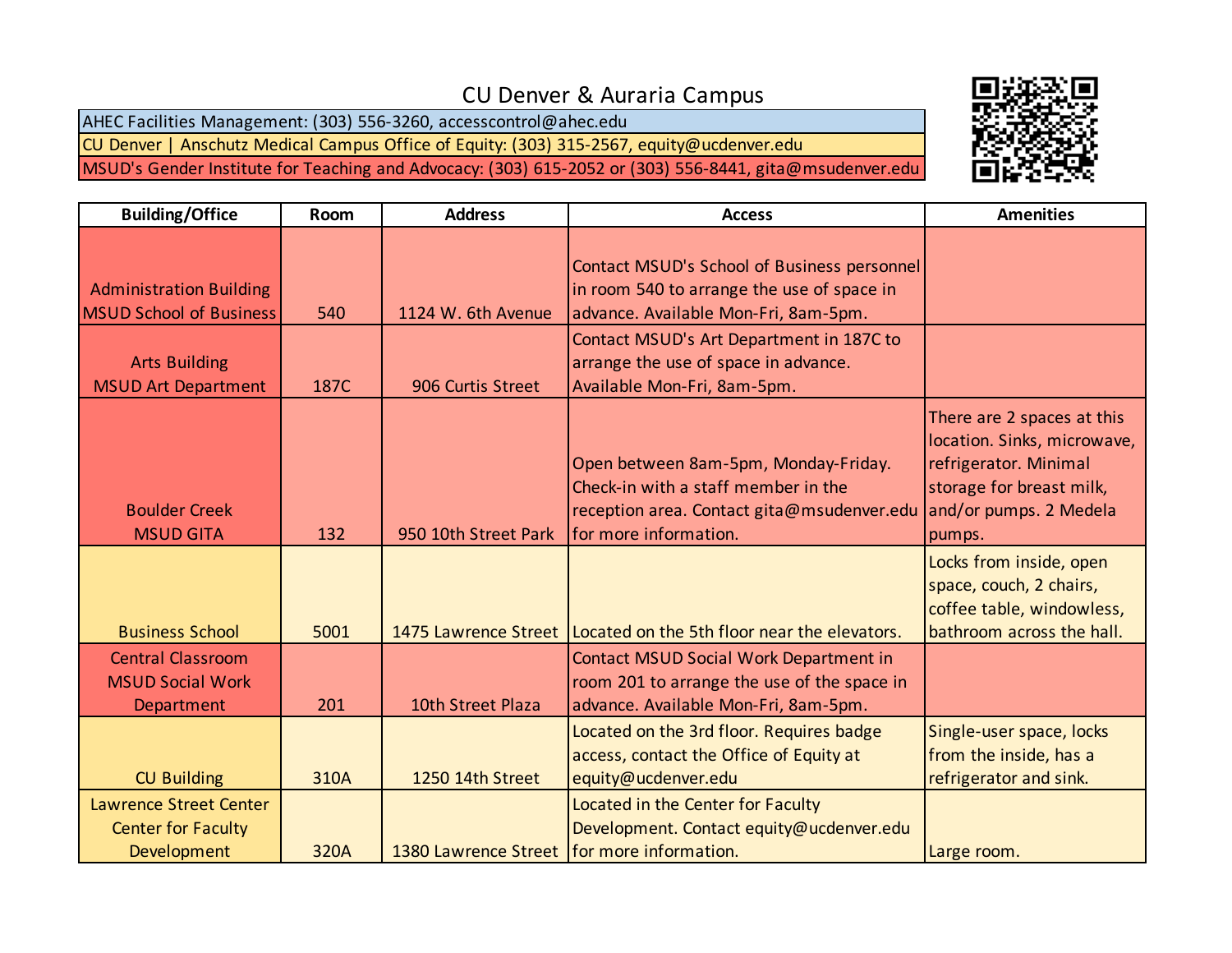## CU Denver & Auraria Campus

AHEC Facilities Management: (303) 556-3260, accesscontrol@ahec.edu CU Denver | Anschutz Medical Campus Office of Equity: (303) 315-2567, equity@ucdenver.edu

MSUD's Gender Institute for Teaching and Advocacy: (303) 615-2052 or (303) 556-8441, gita@msudenver.edu



| <b>Building/Office</b>                                                    | <b>Room</b> | <b>Address</b>                               | <b>Access</b>                                                                                                                                      | <b>Amenities</b>                                                                                                                                   |
|---------------------------------------------------------------------------|-------------|----------------------------------------------|----------------------------------------------------------------------------------------------------------------------------------------------------|----------------------------------------------------------------------------------------------------------------------------------------------------|
| <b>Administration Building</b><br><b>MSUD School of Business</b>          | 540         | 1124 W. 6th Avenue                           | Contact MSUD's School of Business personnel<br>in room 540 to arrange the use of space in<br>advance. Available Mon-Fri, 8am-5pm.                  |                                                                                                                                                    |
| <b>Arts Building</b><br><b>MSUD Art Department</b>                        | 187C        | 906 Curtis Street                            | Contact MSUD's Art Department in 187C to<br>arrange the use of space in advance.<br>Available Mon-Fri, 8am-5pm.                                    |                                                                                                                                                    |
| <b>Boulder Creek</b><br><b>MSUD GITA</b>                                  | 132         | 950 10th Street Park                         | Open between 8am-5pm, Monday-Friday.<br>Check-in with a staff member in the<br>reception area. Contact gita@msudenver.edu<br>for more information. | There are 2 spaces at this<br>location. Sinks, microwave,<br>refrigerator. Minimal<br>storage for breast milk,<br>and/or pumps. 2 Medela<br>pumps. |
| <b>Business School</b>                                                    | 5001        |                                              | 1475 Lawrence Street   Located on the 5th floor near the elevators.                                                                                | Locks from inside, open<br>space, couch, 2 chairs,<br>coffee table, windowless,<br>bathroom across the hall.                                       |
| <b>Central Classroom</b><br><b>MSUD Social Work</b><br>Department         | 201         | 10th Street Plaza                            | Contact MSUD Social Work Department in<br>room 201 to arrange the use of the space in<br>advance. Available Mon-Fri, 8am-5pm.                      |                                                                                                                                                    |
| <b>CU Building</b>                                                        | 310A        | 1250 14th Street                             | Located on the 3rd floor. Requires badge<br>access, contact the Office of Equity at<br>equity@ucdenver.edu                                         | Single-user space, locks<br>from the inside, has a<br>refrigerator and sink.                                                                       |
| <b>Lawrence Street Center</b><br><b>Center for Faculty</b><br>Development | 320A        | 1380 Lawrence Street   for more information. | Located in the Center for Faculty<br>Development. Contact equity@ucdenver.edu                                                                      | Large room.                                                                                                                                        |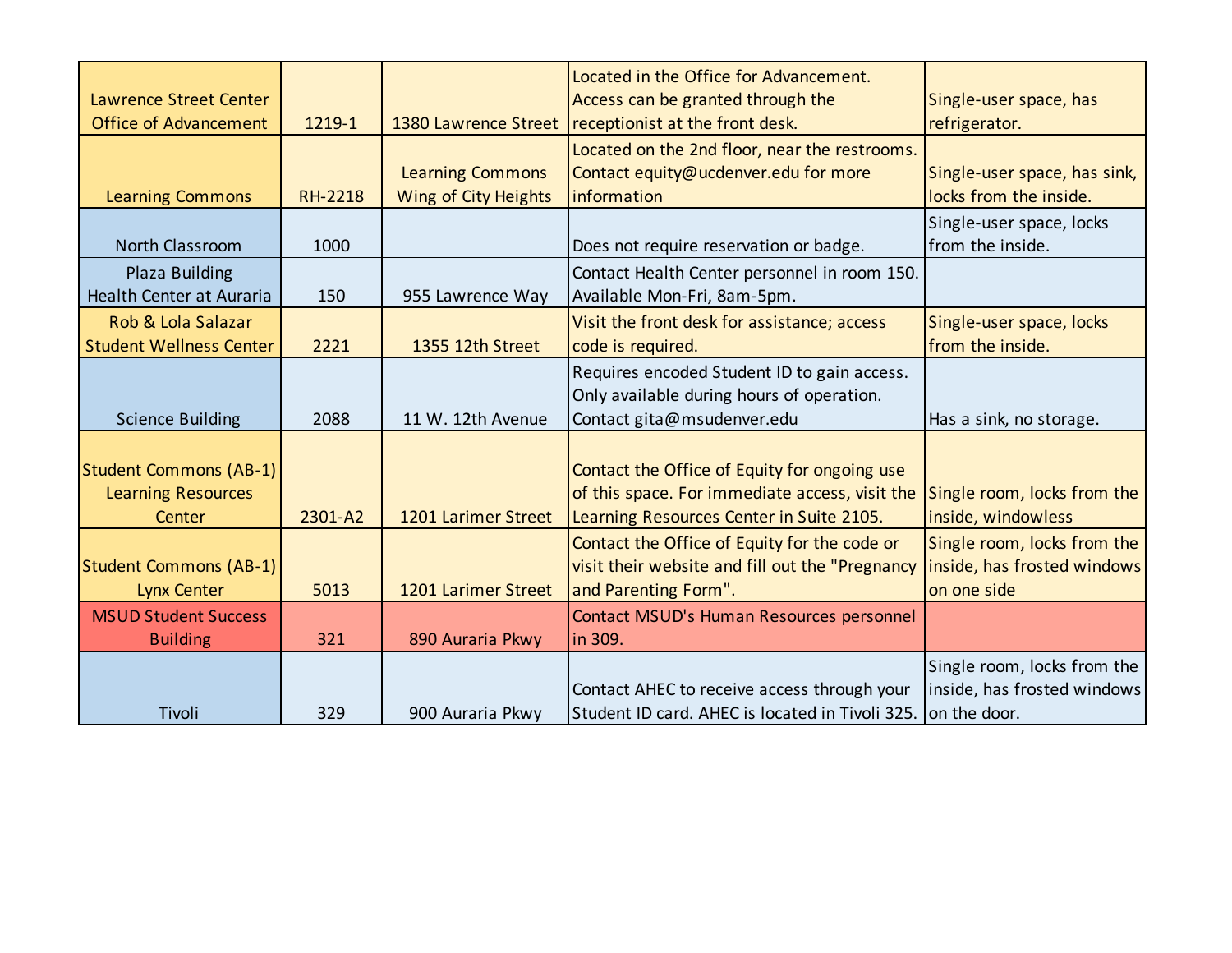| <b>Lawrence Street Center</b>  |                |                         | Located in the Office for Advancement.<br>Access can be granted through the | Single-user space, has       |
|--------------------------------|----------------|-------------------------|-----------------------------------------------------------------------------|------------------------------|
| <b>Office of Advancement</b>   | 1219-1         | 1380 Lawrence Street    | receptionist at the front desk.                                             | refrigerator.                |
|                                |                |                         | Located on the 2nd floor, near the restrooms.                               |                              |
|                                |                | <b>Learning Commons</b> | Contact equity@ucdenver.edu for more                                        | Single-user space, has sink, |
| <b>Learning Commons</b>        | <b>RH-2218</b> | Wing of City Heights    | information                                                                 | locks from the inside.       |
|                                |                |                         |                                                                             | Single-user space, locks     |
| North Classroom                | 1000           |                         | Does not require reservation or badge.                                      | from the inside.             |
| Plaza Building                 |                |                         | Contact Health Center personnel in room 150.                                |                              |
| Health Center at Auraria       | 150            | 955 Lawrence Way        | Available Mon-Fri, 8am-5pm.                                                 |                              |
| Rob & Lola Salazar             |                |                         | Visit the front desk for assistance; access                                 | Single-user space, locks     |
| <b>Student Wellness Center</b> | 2221           | 1355 12th Street        | code is required.                                                           | from the inside.             |
|                                |                |                         | Requires encoded Student ID to gain access.                                 |                              |
|                                |                |                         | Only available during hours of operation.                                   |                              |
| <b>Science Building</b>        | 2088           | 11 W. 12th Avenue       | Contact gita@msudenver.edu                                                  | Has a sink, no storage.      |
|                                |                |                         |                                                                             |                              |
| <b>Student Commons (AB-1)</b>  |                |                         | Contact the Office of Equity for ongoing use                                |                              |
| <b>Learning Resources</b>      |                |                         | of this space. For immediate access, visit the                              | Single room, locks from the  |
| Center                         | 2301-A2        | 1201 Larimer Street     | Learning Resources Center in Suite 2105.                                    | inside, windowless           |
|                                |                |                         | Contact the Office of Equity for the code or                                | Single room, locks from the  |
| <b>Student Commons (AB-1)</b>  |                |                         | visit their website and fill out the "Pregnancy                             | inside, has frosted windows  |
| <b>Lynx Center</b>             | 5013           | 1201 Larimer Street     | and Parenting Form".                                                        | on one side                  |
| <b>MSUD Student Success</b>    |                |                         | Contact MSUD's Human Resources personnel                                    |                              |
| <b>Building</b>                | 321            | 890 Auraria Pkwy        | in 309.                                                                     |                              |
|                                |                |                         |                                                                             | Single room, locks from the  |
|                                |                |                         | Contact AHEC to receive access through your                                 | inside, has frosted windows  |
| Tivoli                         | 329            | 900 Auraria Pkwy        | Student ID card. AHEC is located in Tivoli 325.                             | on the door.                 |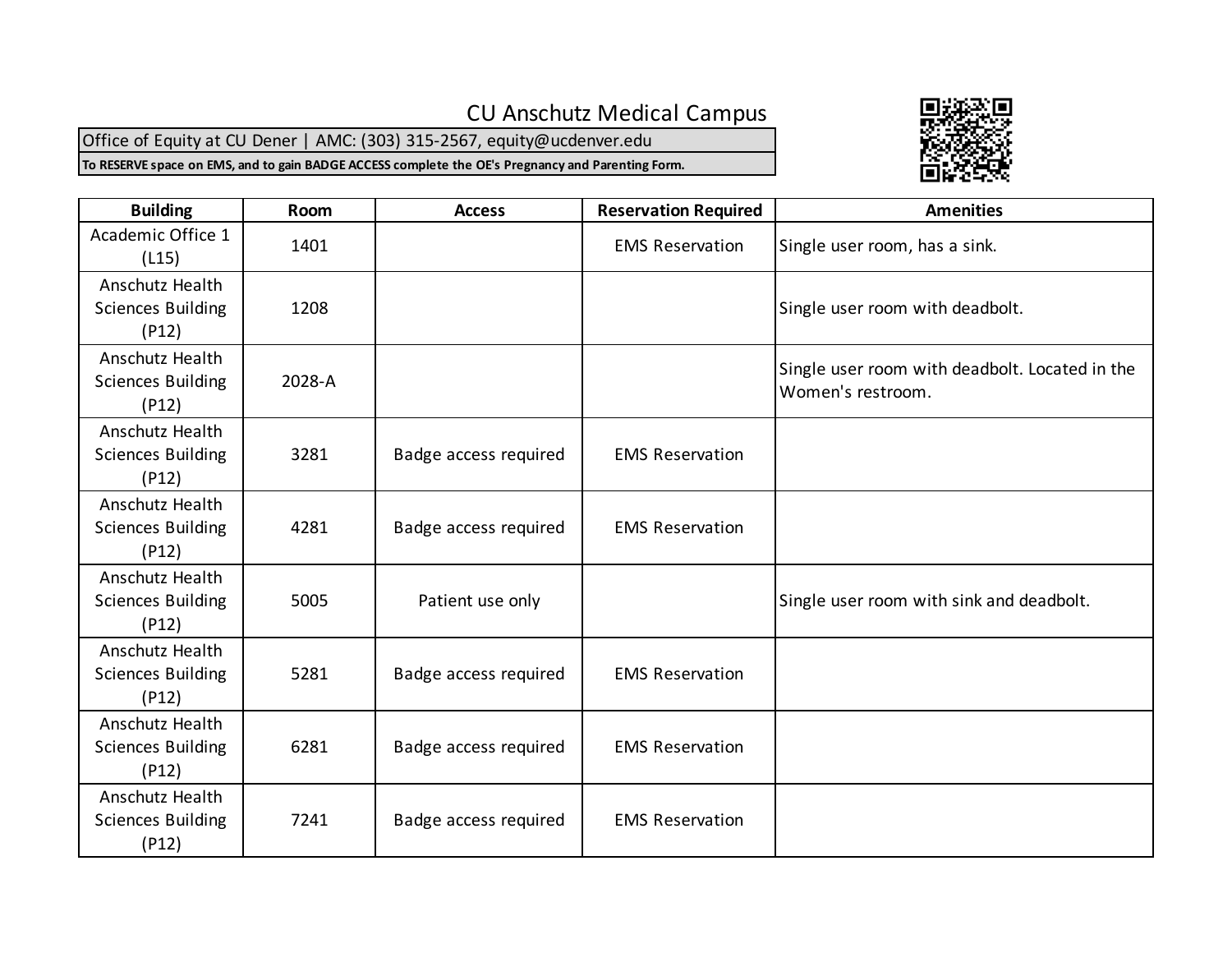## CU Anschutz Medical Campus

Office of Equity at CU Dener | AMC: (303) 315-2567, equity@ucdenver.edu

**To RESERVE space on EMS, and to gain BADGE ACCESS complete the OE's Pregnancy and Parenting Form.**



| <b>Building</b>                                      | Room   | <b>Access</b>         | <b>Reservation Required</b> | <b>Amenities</b>                                                    |
|------------------------------------------------------|--------|-----------------------|-----------------------------|---------------------------------------------------------------------|
| Academic Office 1<br>(L15)                           | 1401   |                       | <b>EMS Reservation</b>      | Single user room, has a sink.                                       |
| Anschutz Health<br><b>Sciences Building</b><br>(P12) | 1208   |                       |                             | Single user room with deadbolt.                                     |
| Anschutz Health<br><b>Sciences Building</b><br>(P12) | 2028-A |                       |                             | Single user room with deadbolt. Located in the<br>Women's restroom. |
| Anschutz Health<br><b>Sciences Building</b><br>(P12) | 3281   | Badge access required | <b>EMS Reservation</b>      |                                                                     |
| Anschutz Health<br><b>Sciences Building</b><br>(P12) | 4281   | Badge access required | <b>EMS Reservation</b>      |                                                                     |
| Anschutz Health<br><b>Sciences Building</b><br>(P12) | 5005   | Patient use only      |                             | Single user room with sink and deadbolt.                            |
| Anschutz Health<br><b>Sciences Building</b><br>(P12) | 5281   | Badge access required | <b>EMS Reservation</b>      |                                                                     |
| Anschutz Health<br><b>Sciences Building</b><br>(P12) | 6281   | Badge access required | <b>EMS Reservation</b>      |                                                                     |
| Anschutz Health<br><b>Sciences Building</b><br>(P12) | 7241   | Badge access required | <b>EMS Reservation</b>      |                                                                     |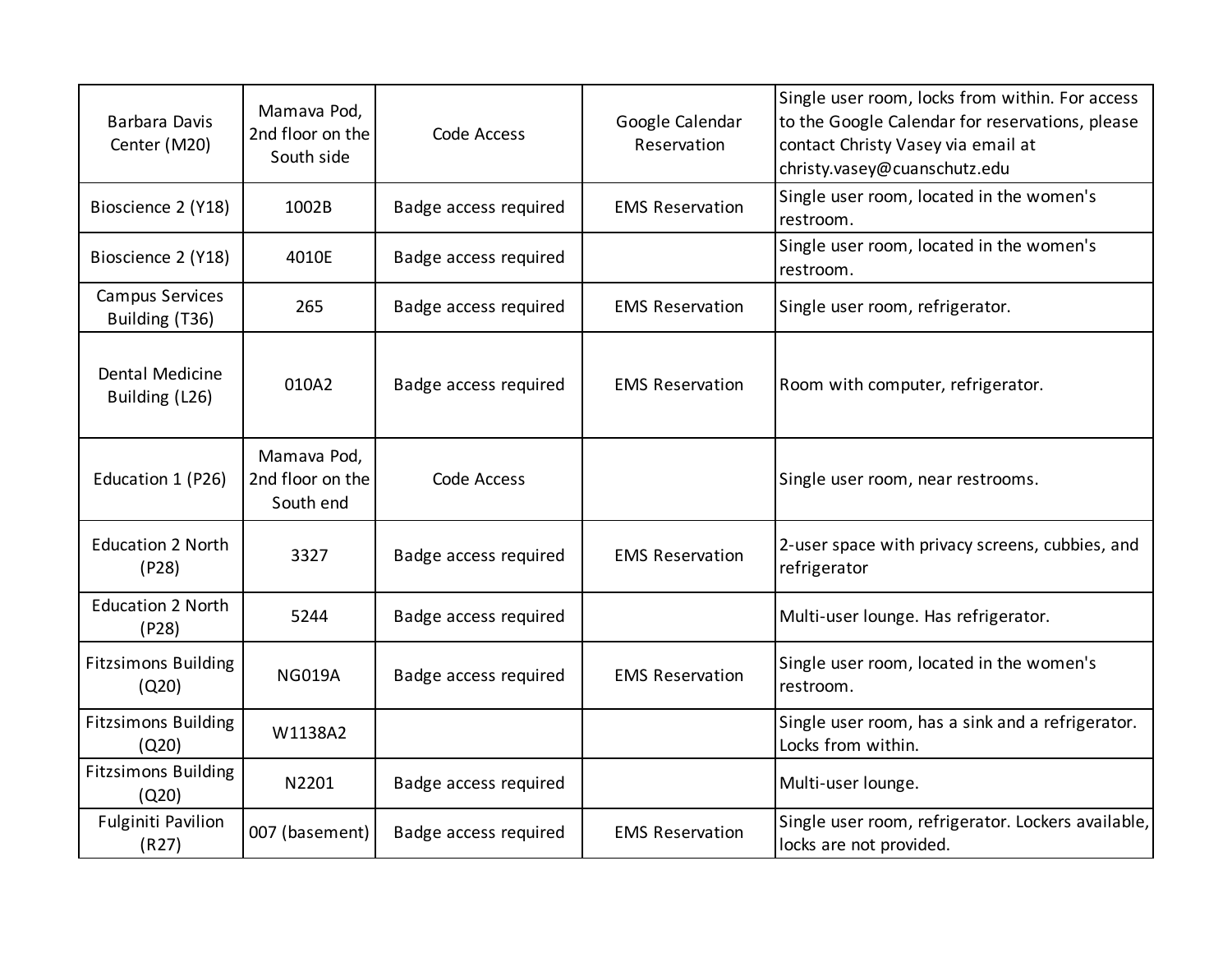| Barbara Davis<br>Center (M20)       | Mamava Pod,<br>2nd floor on the<br>South side | Code Access           | Google Calendar<br>Reservation | Single user room, locks from within. For access<br>to the Google Calendar for reservations, please<br>contact Christy Vasey via email at<br>christy.vasey@cuanschutz.edu |
|-------------------------------------|-----------------------------------------------|-----------------------|--------------------------------|--------------------------------------------------------------------------------------------------------------------------------------------------------------------------|
| Bioscience 2 (Y18)                  | 1002B                                         | Badge access required | <b>EMS Reservation</b>         | Single user room, located in the women's<br>restroom.                                                                                                                    |
| Bioscience 2 (Y18)                  | 4010E                                         | Badge access required |                                | Single user room, located in the women's<br>restroom.                                                                                                                    |
| Campus Services<br>Building (T36)   | 265                                           | Badge access required | <b>EMS Reservation</b>         | Single user room, refrigerator.                                                                                                                                          |
| Dental Medicine<br>Building (L26)   | 010A2                                         | Badge access required | <b>EMS Reservation</b>         | Room with computer, refrigerator.                                                                                                                                        |
| Education 1 (P26)                   | Mamava Pod,<br>2nd floor on the<br>South end  | Code Access           |                                | Single user room, near restrooms.                                                                                                                                        |
| <b>Education 2 North</b><br>(P28)   | 3327                                          | Badge access required | <b>EMS Reservation</b>         | 2-user space with privacy screens, cubbies, and<br>refrigerator                                                                                                          |
| <b>Education 2 North</b><br>(P28)   | 5244                                          | Badge access required |                                | Multi-user lounge. Has refrigerator.                                                                                                                                     |
| <b>Fitzsimons Building</b><br>(Q20) | <b>NG019A</b>                                 | Badge access required | <b>EMS Reservation</b>         | Single user room, located in the women's<br>restroom.                                                                                                                    |
| <b>Fitzsimons Building</b><br>(Q20) | W1138A2                                       |                       |                                | Single user room, has a sink and a refrigerator.<br>Locks from within.                                                                                                   |
| <b>Fitzsimons Building</b><br>(Q20) | N2201                                         | Badge access required |                                | Multi-user lounge.                                                                                                                                                       |
| <b>Fulginiti Pavilion</b><br>(R27)  | 007 (basement)                                | Badge access required | <b>EMS Reservation</b>         | Single user room, refrigerator. Lockers available,<br>locks are not provided.                                                                                            |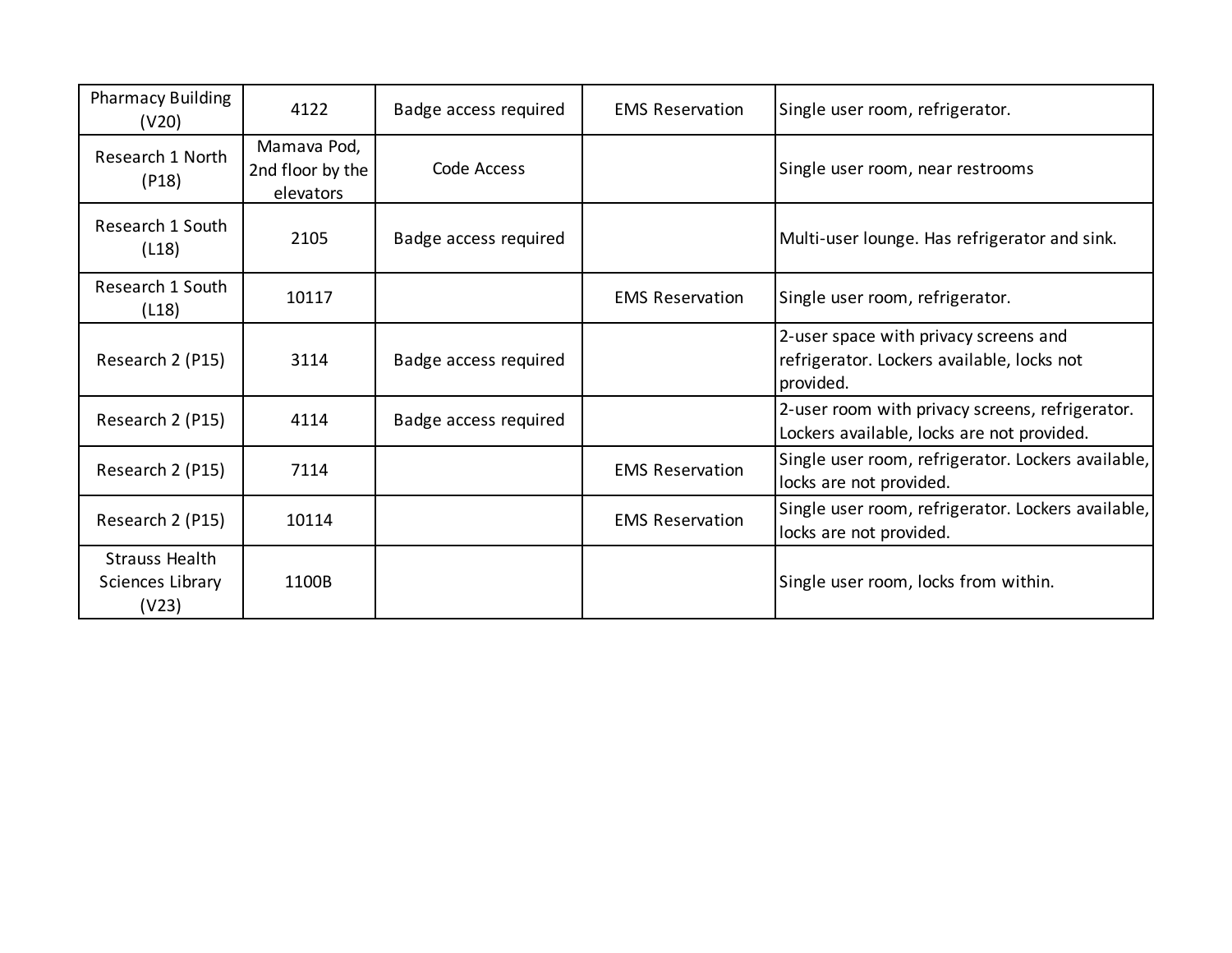| <b>Pharmacy Building</b><br>(V20)                  | 4122                                         | Badge access required | <b>EMS Reservation</b> | Single user room, refrigerator.                                                                  |
|----------------------------------------------------|----------------------------------------------|-----------------------|------------------------|--------------------------------------------------------------------------------------------------|
| Research 1 North<br>(P18)                          | Mamava Pod,<br>2nd floor by the<br>elevators | Code Access           |                        | Single user room, near restrooms                                                                 |
| Research 1 South<br>(L18)                          | 2105                                         | Badge access required |                        | Multi-user lounge. Has refrigerator and sink.                                                    |
| Research 1 South<br>(L18)                          | 10117                                        |                       | <b>EMS Reservation</b> | Single user room, refrigerator.                                                                  |
| Research 2 (P15)                                   | 3114                                         | Badge access required |                        | 2-user space with privacy screens and<br>refrigerator. Lockers available, locks not<br>provided. |
| Research 2 (P15)                                   | 4114                                         | Badge access required |                        | 2-user room with privacy screens, refrigerator.<br>Lockers available, locks are not provided.    |
| Research 2 (P15)                                   | 7114                                         |                       | <b>EMS Reservation</b> | Single user room, refrigerator. Lockers available,<br>locks are not provided.                    |
| Research 2 (P15)                                   | 10114                                        |                       | <b>EMS Reservation</b> | Single user room, refrigerator. Lockers available,<br>locks are not provided.                    |
| <b>Strauss Health</b><br>Sciences Library<br>(V23) | 1100B                                        |                       |                        | Single user room, locks from within.                                                             |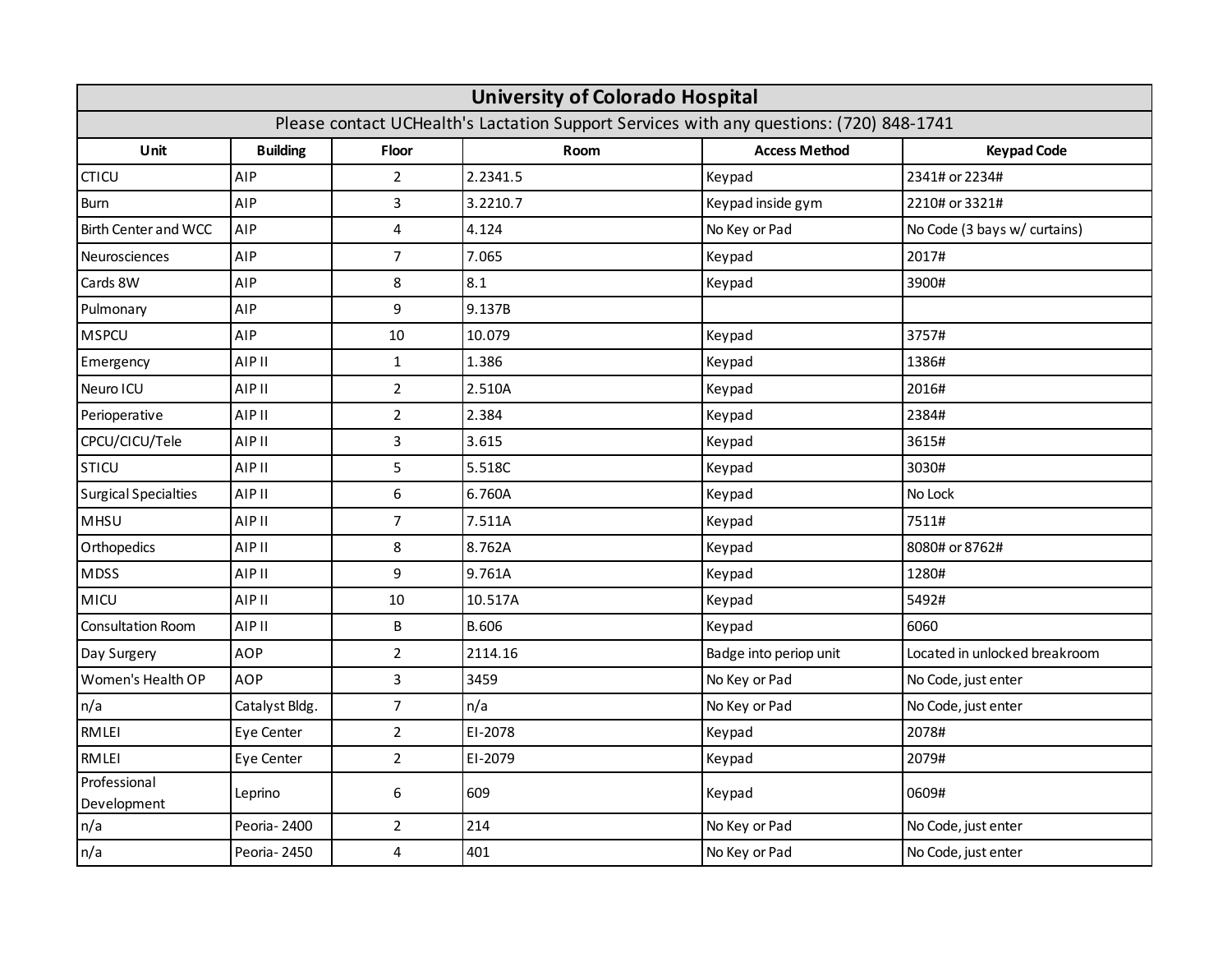| <b>University of Colorado Hospital</b>                                                  |                 |                  |              |                        |                               |  |
|-----------------------------------------------------------------------------------------|-----------------|------------------|--------------|------------------------|-------------------------------|--|
| Please contact UCHealth's Lactation Support Services with any questions: (720) 848-1741 |                 |                  |              |                        |                               |  |
| Unit                                                                                    | <b>Building</b> | Floor            | Room         | <b>Access Method</b>   | <b>Keypad Code</b>            |  |
| <b>CTICU</b>                                                                            | AIP             | $\overline{2}$   | 2.2341.5     | Keypad                 | 2341# or 2234#                |  |
| <b>Burn</b>                                                                             | AIP             | 3                | 3.2210.7     | Keypad inside gym      | 2210# or 3321#                |  |
| <b>Birth Center and WCC</b>                                                             | AIP             | 4                | 4.124        | No Key or Pad          | No Code (3 bays w/ curtains)  |  |
| Neurosciences                                                                           | AIP             | $\overline{7}$   | 7.065        | Keypad                 | 2017#                         |  |
| Cards 8W                                                                                | AIP             | 8                | 8.1          | Keypad                 | 3900#                         |  |
| Pulmonary                                                                               | AIP             | 9                | 9.137B       |                        |                               |  |
| <b>MSPCU</b>                                                                            | AIP             | 10               | 10.079       | Keypad                 | 3757#                         |  |
| Emergency                                                                               | AIP II          | $\mathbf{1}$     | 1.386        | Keypad                 | 1386#                         |  |
| Neuro ICU                                                                               | AIP II          | $\overline{2}$   | 2.510A       | Keypad                 | 2016#                         |  |
| Perioperative                                                                           | AIP II          | $\overline{2}$   | 2.384        | Keypad                 | 2384#                         |  |
| CPCU/CICU/Tele                                                                          | AIP II          | 3                | 3.615        | Keypad                 | 3615#                         |  |
| <b>STICU</b>                                                                            | AIP II          | 5                | 5.518C       | Keypad                 | 3030#                         |  |
| <b>Surgical Specialties</b>                                                             | AIP II          | $\boldsymbol{6}$ | 6.760A       | Keypad                 | No Lock                       |  |
| MHSU                                                                                    | <b>AIP II</b>   | $\overline{7}$   | 7.511A       | Keypad                 | 7511#                         |  |
| Orthopedics                                                                             | AIP II          | 8                | 8.762A       | Keypad                 | 8080# or 8762#                |  |
| <b>MDSS</b>                                                                             | <b>AIP II</b>   | 9                | 9.761A       | Keypad                 | 1280#                         |  |
| <b>MICU</b>                                                                             | <b>AIP II</b>   | 10               | 10.517A      | Keypad                 | 5492#                         |  |
| Consultation Room                                                                       | <b>AIP II</b>   | B                | <b>B.606</b> | Keypad                 | 6060                          |  |
| Day Surgery                                                                             | <b>AOP</b>      | $\overline{2}$   | 2114.16      | Badge into periop unit | Located in unlocked breakroom |  |
| Women's Health OP                                                                       | <b>AOP</b>      | 3                | 3459         | No Key or Pad          | No Code, just enter           |  |
| n/a                                                                                     | Catalyst Bldg.  | $\overline{7}$   | n/a          | No Key or Pad          | No Code, just enter           |  |
| <b>RMLEI</b>                                                                            | Eye Center      | $\overline{2}$   | EI-2078      | Keypad                 | 2078#                         |  |
| <b>RMLEI</b>                                                                            | Eye Center      | $\overline{2}$   | EI-2079      | Keypad                 | 2079#                         |  |
| Professional<br>Development                                                             | Leprino         | 6                | 609          | Keypad                 | 0609#                         |  |
| n/a                                                                                     | Peoria-2400     | $\overline{2}$   | 214          | No Key or Pad          | No Code, just enter           |  |
| n/a                                                                                     | Peoria - 2450   | 4                | 401          | No Key or Pad          | No Code, just enter           |  |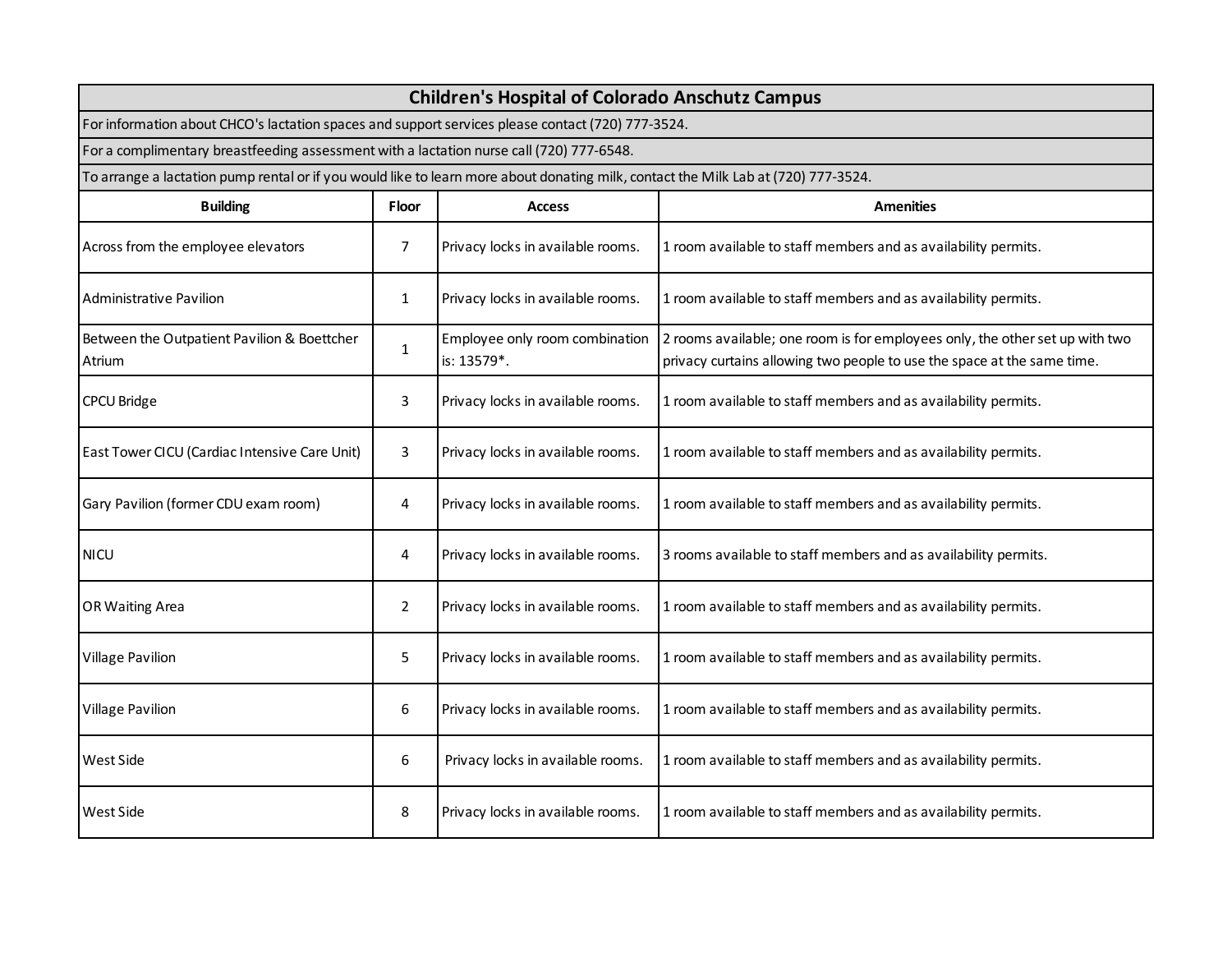| <b>Children's Hospital of Colorado Anschutz Campus</b>                                                                             |                |                                               |                                                                                                                                                         |  |
|------------------------------------------------------------------------------------------------------------------------------------|----------------|-----------------------------------------------|---------------------------------------------------------------------------------------------------------------------------------------------------------|--|
| For information about CHCO's lactation spaces and support services please contact (720) 777-3524.                                  |                |                                               |                                                                                                                                                         |  |
| For a complimentary breastfeeding assessment with a lactation nurse call (720) 777-6548.                                           |                |                                               |                                                                                                                                                         |  |
| To arrange a lactation pump rental or if you would like to learn more about donating milk, contact the Milk Lab at (720) 777-3524. |                |                                               |                                                                                                                                                         |  |
| <b>Building</b>                                                                                                                    | <b>Floor</b>   | <b>Access</b>                                 | <b>Amenities</b>                                                                                                                                        |  |
| Across from the employee elevators                                                                                                 | 7              | Privacy locks in available rooms.             | 1 room available to staff members and as availability permits.                                                                                          |  |
| Administrative Pavilion                                                                                                            | 1              | Privacy locks in available rooms.             | 1 room available to staff members and as availability permits.                                                                                          |  |
| Between the Outpatient Pavilion & Boettcher<br>Atrium                                                                              | $\mathbf{1}$   | Employee only room combination<br>is: 13579*. | 2 rooms available; one room is for employees only, the other set up with two<br>privacy curtains allowing two people to use the space at the same time. |  |
| CPCU Bridge                                                                                                                        | 3              | Privacy locks in available rooms.             | 1 room available to staff members and as availability permits.                                                                                          |  |
| East Tower CICU (Cardiac Intensive Care Unit)                                                                                      | 3              | Privacy locks in available rooms.             | 1 room available to staff members and as availability permits.                                                                                          |  |
| Gary Pavilion (former CDU exam room)                                                                                               | 4              | Privacy locks in available rooms.             | 1 room available to staff members and as availability permits.                                                                                          |  |
| <b>NICU</b>                                                                                                                        | 4              | Privacy locks in available rooms.             | 3 rooms available to staff members and as availability permits.                                                                                         |  |
| OR Waiting Area                                                                                                                    | $\overline{2}$ | Privacy locks in available rooms.             | 1 room available to staff members and as availability permits.                                                                                          |  |
| <b>Village Pavilion</b>                                                                                                            | 5              | Privacy locks in available rooms.             | 1 room available to staff members and as availability permits.                                                                                          |  |
| <b>Village Pavilion</b>                                                                                                            | 6              | Privacy locks in available rooms.             | 1 room available to staff members and as availability permits.                                                                                          |  |
| West Side                                                                                                                          | 6              | Privacy locks in available rooms.             | 1 room available to staff members and as availability permits.                                                                                          |  |
| West Side                                                                                                                          | 8              | Privacy locks in available rooms.             | 1 room available to staff members and as availability permits.                                                                                          |  |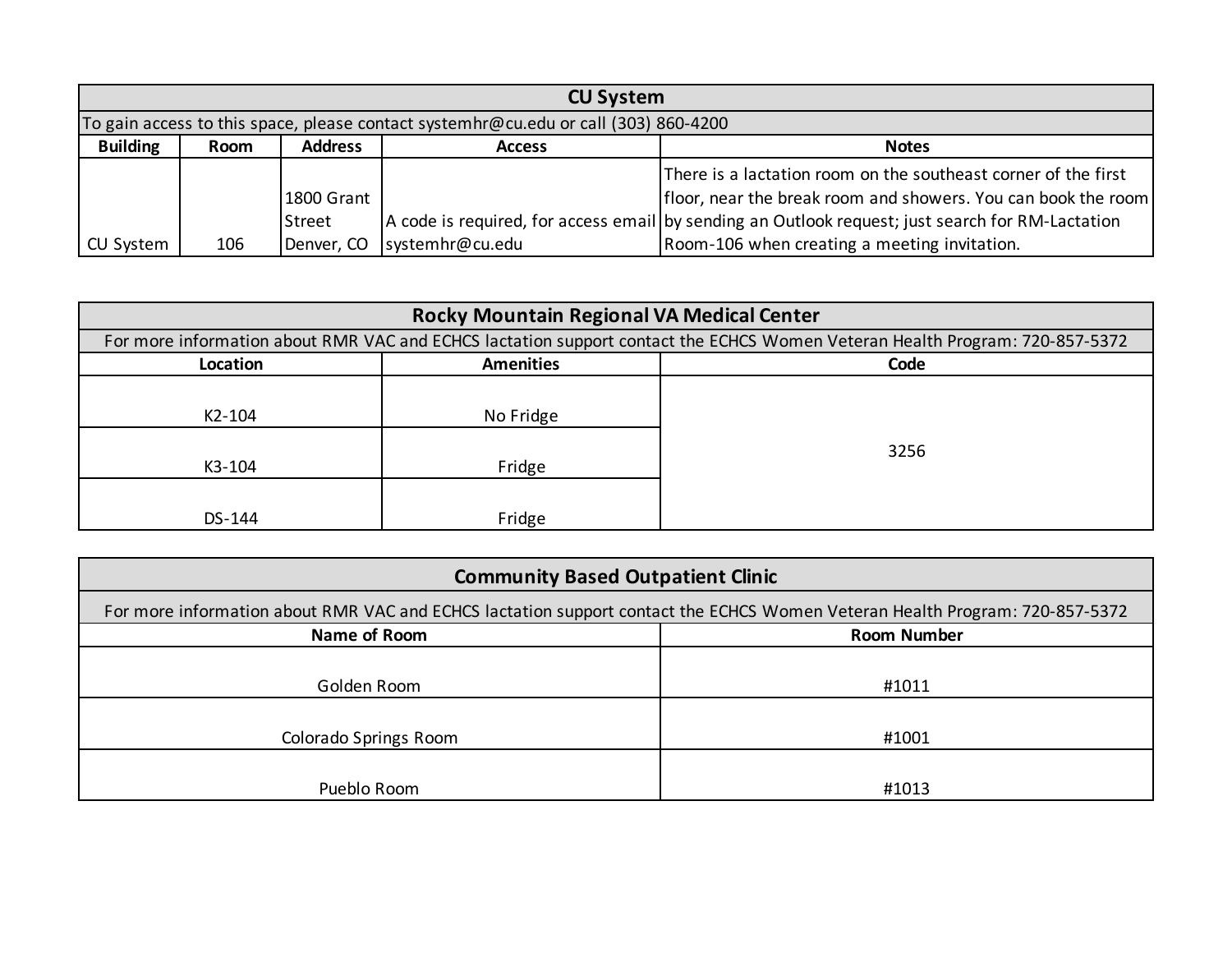|                 | <b>CU System</b> |                |                                                                                     |                                                                                                  |  |  |
|-----------------|------------------|----------------|-------------------------------------------------------------------------------------|--------------------------------------------------------------------------------------------------|--|--|
|                 |                  |                | To gain access to this space, please contact systemhr@cu.edu or call (303) 860-4200 |                                                                                                  |  |  |
| <b>Building</b> | Room             | <b>Address</b> | <b>Access</b>                                                                       | <b>Notes</b>                                                                                     |  |  |
|                 |                  |                |                                                                                     | There is a lactation room on the southeast corner of the first                                   |  |  |
|                 |                  | 1800 Grant     |                                                                                     | floor, near the break room and showers. You can book the room                                    |  |  |
|                 |                  | <b>Street</b>  |                                                                                     | A code is required, for access email by sending an Outlook request; just search for RM-Lactation |  |  |
| CU System       | 106              | Denver, CO     | systemhr@cu.edu                                                                     | Room-106 when creating a meeting invitation.                                                     |  |  |

| <b>Rocky Mountain Regional VA Medical Center</b> |                                                                                                                             |      |  |  |  |
|--------------------------------------------------|-----------------------------------------------------------------------------------------------------------------------------|------|--|--|--|
|                                                  | For more information about RMR VAC and ECHCS lactation support contact the ECHCS Women Veteran Health Program: 720-857-5372 |      |  |  |  |
| Location                                         | <b>Amenities</b>                                                                                                            | Code |  |  |  |
| K2-104<br>K3-104                                 | No Fridge<br>Fridge                                                                                                         | 3256 |  |  |  |
| DS-144                                           | Fridge                                                                                                                      |      |  |  |  |

| <b>Community Based Outpatient Clinic</b> |                                                                                                                             |  |  |  |  |
|------------------------------------------|-----------------------------------------------------------------------------------------------------------------------------|--|--|--|--|
|                                          | For more information about RMR VAC and ECHCS lactation support contact the ECHCS Women Veteran Health Program: 720-857-5372 |  |  |  |  |
| Name of Room                             | <b>Room Number</b>                                                                                                          |  |  |  |  |
|                                          |                                                                                                                             |  |  |  |  |
| Golden Room                              | #1011                                                                                                                       |  |  |  |  |
|                                          |                                                                                                                             |  |  |  |  |
| Colorado Springs Room                    | #1001                                                                                                                       |  |  |  |  |
|                                          |                                                                                                                             |  |  |  |  |
| Pueblo Room                              | #1013                                                                                                                       |  |  |  |  |